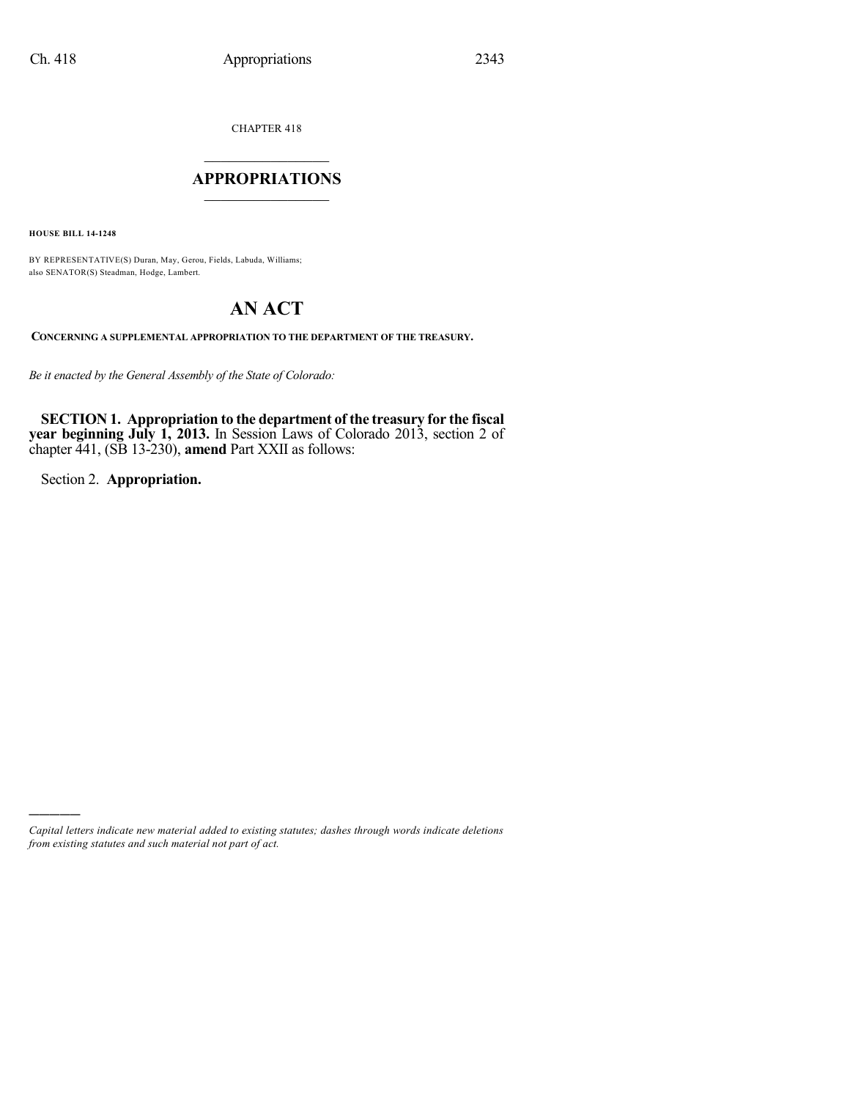CHAPTER 418

## $\overline{\phantom{a}}$  . The set of the set of the set of the set of the set of the set of the set of the set of the set of the set of the set of the set of the set of the set of the set of the set of the set of the set of the set o **APPROPRIATIONS**  $\_$   $\_$   $\_$   $\_$   $\_$   $\_$   $\_$   $\_$

**HOUSE BILL 14-1248**

BY REPRESENTATIVE(S) Duran, May, Gerou, Fields, Labuda, Williams; also SENATOR(S) Steadman, Hodge, Lambert.

# **AN ACT**

**CONCERNING A SUPPLEMENTAL APPROPRIATION TO THE DEPARTMENT OF THE TREASURY.**

*Be it enacted by the General Assembly of the State of Colorado:*

**SECTION 1. Appropriation to the department of the treasury for the fiscal year beginning July 1, 2013.** In Session Laws of Colorado 2013, section 2 of chapter 441, (SB 13-230), **amend** Part XXII as follows:

Section 2. **Appropriation.**

)))))

*Capital letters indicate new material added to existing statutes; dashes through words indicate deletions from existing statutes and such material not part of act.*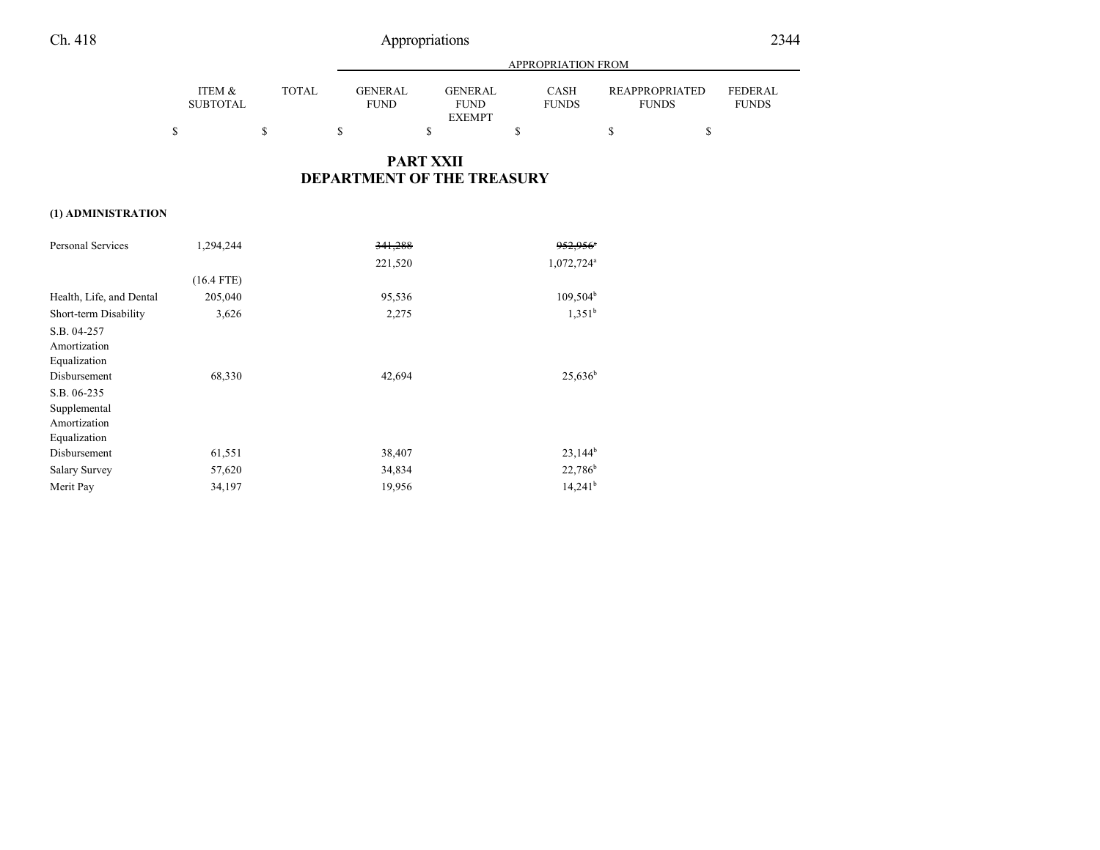# Ch. 418 Appropriations

|                           |              |                               | APPROPRIATION FROM            |                      |                                       |                                |
|---------------------------|--------------|-------------------------------|-------------------------------|----------------------|---------------------------------------|--------------------------------|
| ITEM &<br><b>SUBTOTAL</b> | <b>TOTAL</b> | <b>GENERAL</b><br><b>FUND</b> | <b>GENERAL</b><br><b>FUND</b> | CASH<br><b>FUNDS</b> | <b>REAPPROPRIATED</b><br><b>FUNDS</b> | <b>FEDERAL</b><br><b>FUNDS</b> |
|                           |              |                               | <b>EXEMPT</b>                 |                      |                                       |                                |
|                           |              |                               |                               |                      |                                       |                                |

#### **PART XXII DEPARTMENT OF THE TREASURY**

#### **(1) ADMINISTRATION**

| Personal Services        | 1,294,244    | 341,288 | 952.956 <sup>*</sup>   |
|--------------------------|--------------|---------|------------------------|
|                          |              | 221,520 | 1,072,724 <sup>a</sup> |
|                          | $(16.4$ FTE) |         |                        |
| Health, Life, and Dental | 205,040      | 95,536  | $109,504^b$            |
| Short-term Disability    | 3,626        | 2,275   | 1.351 <sup>b</sup>     |
| S.B. 04-257              |              |         |                        |
| Amortization             |              |         |                        |
| Equalization             |              |         |                        |
| Disbursement             | 68,330       | 42,694  | $25,636^b$             |
| S.B. 06-235              |              |         |                        |
| Supplemental             |              |         |                        |
| Amortization             |              |         |                        |
| Equalization             |              |         |                        |
| Disbursement             | 61,551       | 38,407  | $23.144^{b}$           |
| <b>Salary Survey</b>     | 57,620       | 34,834  | 22,786 <sup>b</sup>    |
| Merit Pay                | 34,197       | 19,956  | $14,241^b$             |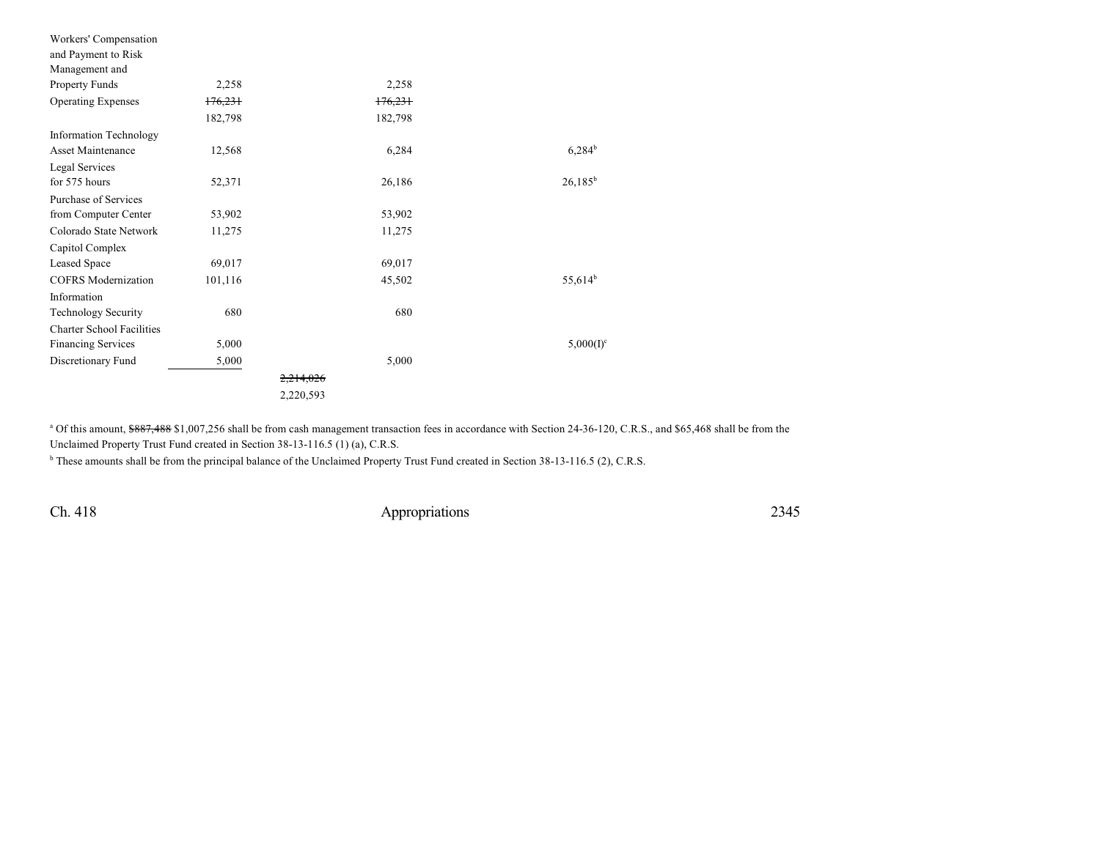| Workers' Compensation            |         |           |              |
|----------------------------------|---------|-----------|--------------|
| and Payment to Risk              |         |           |              |
| Management and                   |         |           |              |
| Property Funds                   | 2,258   | 2,258     |              |
| <b>Operating Expenses</b>        | 176,231 | 176,231   |              |
|                                  | 182,798 | 182,798   |              |
| <b>Information Technology</b>    |         |           |              |
| Asset Maintenance                | 12,568  | 6,284     | $6,284^b$    |
| Legal Services                   |         |           |              |
| for 575 hours                    | 52,371  | 26,186    | $26,185^b$   |
| Purchase of Services             |         |           |              |
| from Computer Center             | 53,902  | 53,902    |              |
| Colorado State Network           | 11,275  | 11,275    |              |
| Capitol Complex                  |         |           |              |
| Leased Space                     | 69,017  | 69,017    |              |
| <b>COFRS</b> Modernization       | 101,116 | 45,502    | $55,614^b$   |
| Information                      |         |           |              |
| <b>Technology Security</b>       | 680     | 680       |              |
| <b>Charter School Facilities</b> |         |           |              |
| <b>Financing Services</b>        | 5,000   |           | $5,000(I)^c$ |
| Discretionary Fund               | 5,000   | 5,000     |              |
|                                  |         |           |              |
|                                  |         | 2,220,593 |              |

<sup>a</sup> Of this amount, \$887,488 \$1,007,256 shall be from cash management transaction fees in accordance with Section 24-36-120, C.R.S., and \$65,468 shall be from the Unclaimed Property Trust Fund created in Section 38-13-116.5 (1) (a), C.R.S.

<sup>b</sup> These amounts shall be from the principal balance of the Unclaimed Property Trust Fund created in Section 38-13-116.5 (2), C.R.S.

Ch. 418 Appropriations 2345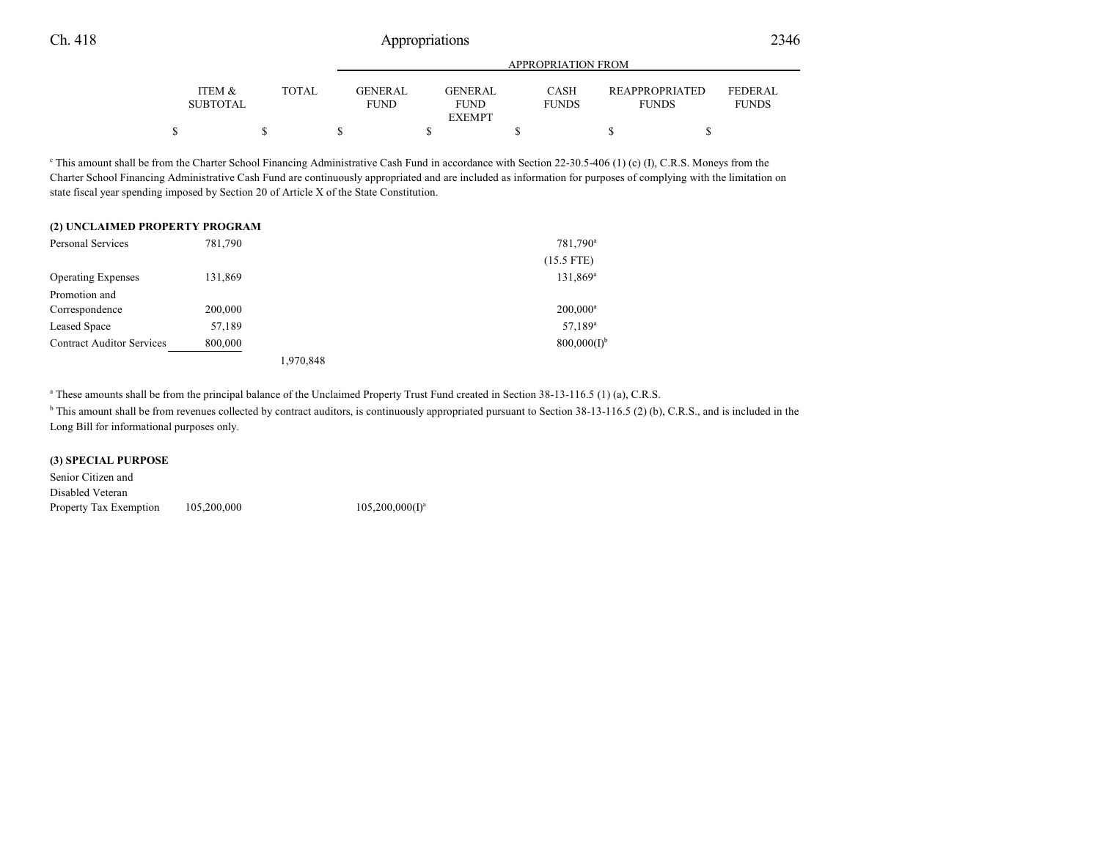|                           |       |                               | <b>APPROPRIATION FROM</b> |                             |                                       |                                |
|---------------------------|-------|-------------------------------|---------------------------|-----------------------------|---------------------------------------|--------------------------------|
| ITEM &<br><b>SUBTOTAL</b> | TOTAL | <b>GENERAL</b><br><b>FUND</b> | GENERAL<br><b>FUND</b>    | <b>CASH</b><br><b>FUNDS</b> | <b>REAPPROPRIATED</b><br><b>FUNDS</b> | <b>FEDERAL</b><br><b>FUNDS</b> |
|                           |       |                               | <b>EXEMPT</b>             |                             |                                       |                                |
|                           |       |                               |                           |                             |                                       |                                |

<sup>c</sup> This amount shall be from the Charter School Financing Administrative Cash Fund in accordance with Section 22-30.5-406 (1) (c) (I), C.R.S. Moneys from the Charter School Financing Administrative Cash Fund are continuously appropriated and are included as information for purposes of complying with the limitation on state fiscal year spending imposed by Section 20 of Article X of the State Constitution.

| (2) UNCLAIMED PROPERTY PROGRAM   |         |           |                         |
|----------------------------------|---------|-----------|-------------------------|
| Personal Services                | 781,790 |           | 781,790 <sup>a</sup>    |
|                                  |         |           | $(15.5$ FTE)            |
| <b>Operating Expenses</b>        | 131,869 |           | 131,869 <sup>a</sup>    |
| Promotion and                    |         |           |                         |
| Correspondence                   | 200,000 |           | $200,000^a$             |
| Leased Space                     | 57,189  |           | $57,189^a$              |
| <b>Contract Auditor Services</b> | 800,000 |           | 800,000(1) <sup>b</sup> |
|                                  |         | 1,970,848 |                         |

a These amounts shall be from the principal balance of the Unclaimed Property Trust Fund created in Section 38-13-116.5 (1) (a), C.R.S.

<sup>b</sup> This amount shall be from revenues collected by contract auditors, is continuously appropriated pursuant to Section 38-13-116.5 (2) (b), C.R.S., and is included in the Long Bill for informational purposes only.

#### **(3) SPECIAL PURPOSE**

Senior Citizen and Disabled Veteran Property Tax Exemption 105,200,000  $105,200,000(I)^a$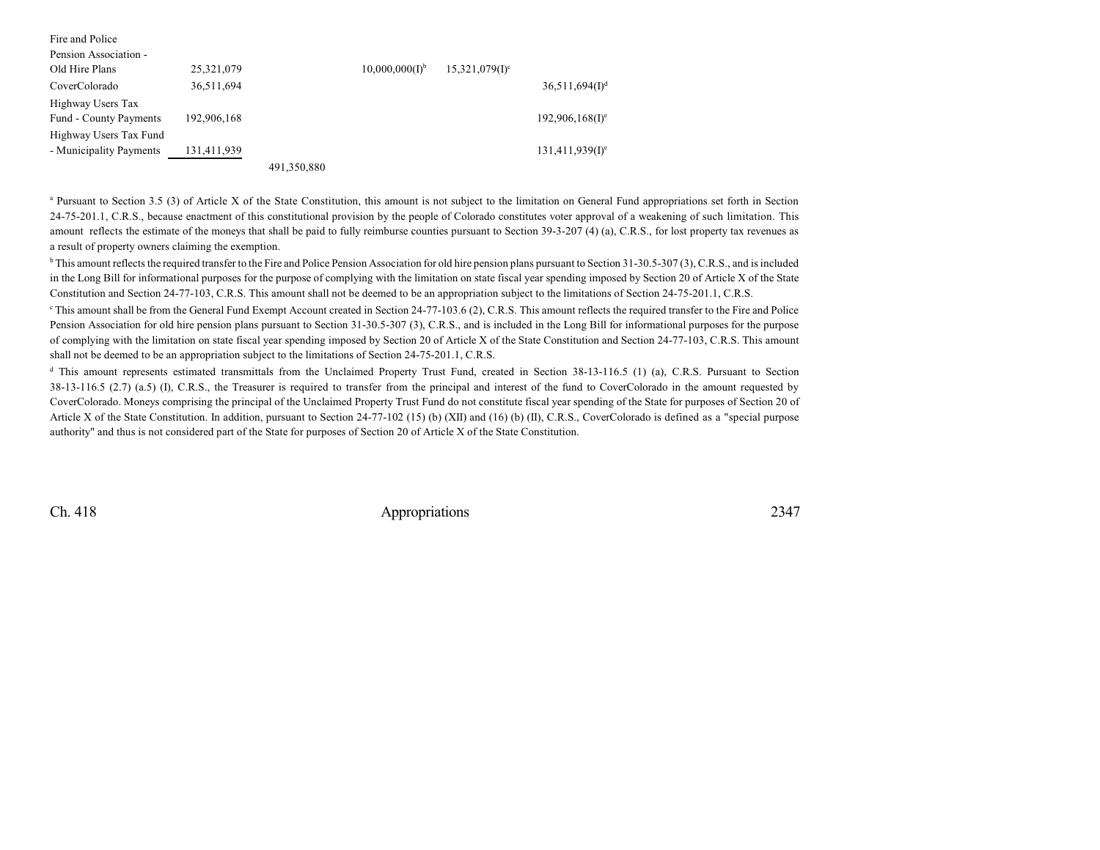| Fire and Police         |             |             |                              |                               |                               |
|-------------------------|-------------|-------------|------------------------------|-------------------------------|-------------------------------|
| Pension Association -   |             |             |                              |                               |                               |
| Old Hire Plans          | 25,321,079  |             | $10,000,000(1)$ <sup>b</sup> | $15,321,079$ (I) <sup>c</sup> |                               |
| CoverColorado           | 36,511,694  |             |                              |                               | $36,511,694(1)$ <sup>d</sup>  |
| Highway Users Tax       |             |             |                              |                               |                               |
| Fund - County Payments  | 192,906,168 |             |                              |                               | $192,906,168(1)$ <sup>e</sup> |
| Highway Users Tax Fund  |             |             |                              |                               |                               |
| - Municipality Payments | 131,411,939 |             |                              |                               | $131,411,939(1)$ <sup>e</sup> |
|                         |             | 491,350,880 |                              |                               |                               |

<sup>a</sup> Pursuant to Section 3.5 (3) of Article X of the State Constitution, this amount is not subject to the limitation on General Fund appropriations set forth in Section 24-75-201.1, C.R.S., because enactment of this constitutional provision by the people of Colorado constitutes voter approval of a weakening of such limitation. This amount reflects the estimate of the moneys that shall be paid to fully reimburse counties pursuant to Section 39-3-207 (4) (a), C.R.S., for lost property tax revenues as a result of property owners claiming the exemption.

<sup>b</sup> This amount reflects the required transfer to the Fire and Police Pension Association for old hire pension plans pursuant to Section 31-30.5-307 (3), C.R.S., and is included in the Long Bill for informational purposes for the purpose of complying with the limitation on state fiscal year spending imposed by Section 20 of Article X of the State Constitution and Section 24-77-103, C.R.S. This amount shall not be deemed to be an appropriation subject to the limitations of Section 24-75-201.1, C.R.S.

<sup>c</sup> This amount shall be from the General Fund Exempt Account created in Section 24-77-103.6 (2), C.R.S. This amount reflects the required transfer to the Fire and Police Pension Association for old hire pension plans pursuant to Section 31-30.5-307 (3), C.R.S., and is included in the Long Bill for informational purposes for the purpose of complying with the limitation on state fiscal year spending imposed by Section 20 of Article X of the State Constitution and Section 24-77-103, C.R.S. This amount shall not be deemed to be an appropriation subject to the limitations of Section 24-75-201.1, C.R.S.

<sup>d</sup> This amount represents estimated transmittals from the Unclaimed Property Trust Fund, created in Section 38-13-116.5 (1) (a), C.R.S. Pursuant to Section 38-13-116.5 (2.7) (a.5) (I), C.R.S., the Treasurer is required to transfer from the principal and interest of the fund to CoverColorado in the amount requested by CoverColorado. Moneys comprising the principal of the Unclaimed Property Trust Fund do not constitute fiscal year spending of the State for purposes of Section 20 of Article X of the State Constitution. In addition, pursuant to Section 24-77-102 (15) (b) (XII) and (16) (b) (II), C.R.S., CoverColorado is defined as a "special purpose authority" and thus is not considered part of the State for purposes of Section 20 of Article X of the State Constitution.

Ch. 418 Appropriations 2347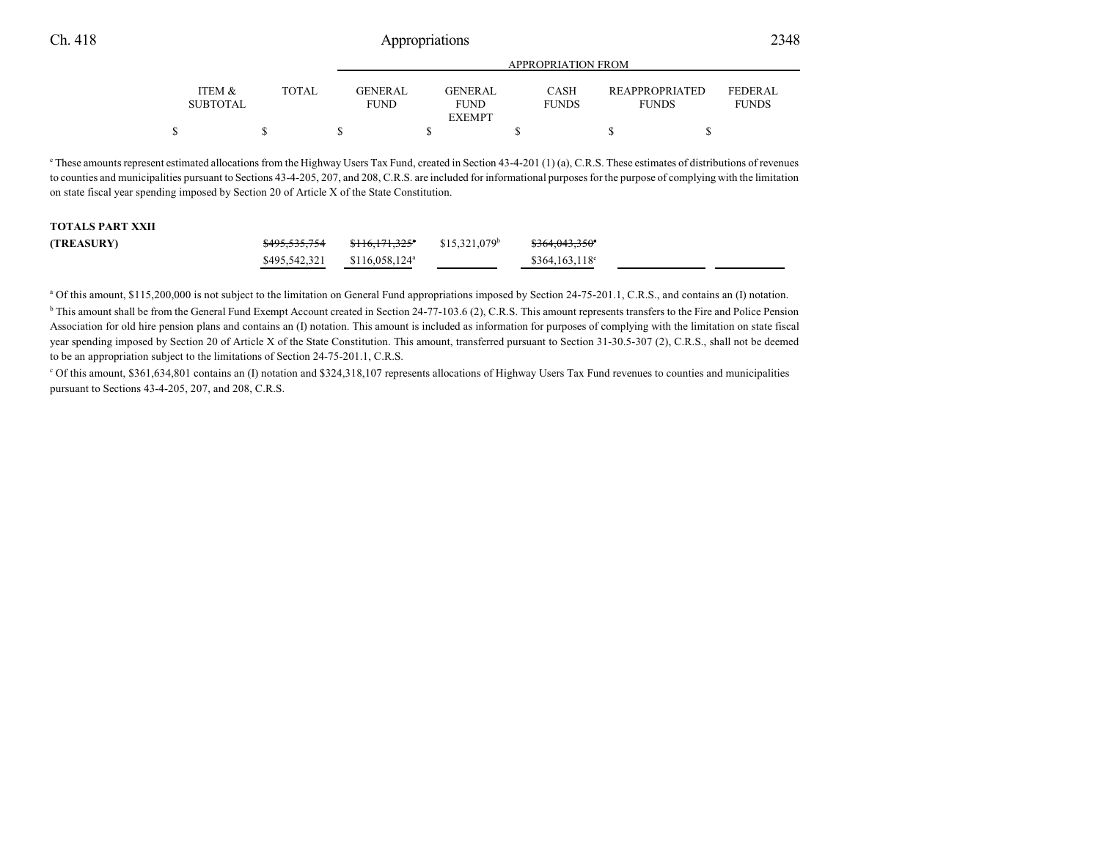|                                      |       | APPROPRIATION FROM             |                                |                             |                                       |                                |
|--------------------------------------|-------|--------------------------------|--------------------------------|-----------------------------|---------------------------------------|--------------------------------|
| <b>ITEM &amp;</b><br><b>SUBTOTAL</b> | TOTAL | <b>GENER AL</b><br><b>FUND</b> | <b>GENER AL</b><br><b>FUND</b> | <b>CASH</b><br><b>FUNDS</b> | <b>REAPPROPRIATED</b><br><b>FUNDS</b> | <b>FEDERAL</b><br><b>FUNDS</b> |
|                                      |       |                                | <b>EXEMPT</b>                  |                             |                                       |                                |
|                                      |       |                                |                                |                             |                                       |                                |

APPROPRIATION FROM

 $^{\circ}$  These amounts represent estimated allocations from the Highway Users Tax Fund, created in Section 43-4-201 (1) (a), C.R.S. These estimates of distributions of revenues to counties and municipalities pursuant to Sections 43-4-205, 207, and 208, C.R.S. are included for informational purposes for the purpose of complying with the limitation on state fiscal year spending imposed by Section 20 of Article X of the State Constitution.

### **TOTALS PART XXII**

| (TREASURY) | <del>\$495,535,754</del>                   | <del>\$116.171.325</del> * | \$15.321.079 <sup>b</sup> | \$364,043,350°         |
|------------|--------------------------------------------|----------------------------|---------------------------|------------------------|
|            | $$495,542,321$ $$116,058,124$ <sup>a</sup> |                            |                           | $$364,163,118^{\circ}$ |

<sup>a</sup> Of this amount, \$115,200,000 is not subject to the limitation on General Fund appropriations imposed by Section 24-75-201.1, C.R.S., and contains an (I) notation. <sup>b</sup> This amount shall be from the General Fund Exempt Account created in Section 24-77-103.6 (2), C.R.S. This amount represents transfers to the Fire and Police Pension Association for old hire pension plans and contains an (I) notation. This amount is included as information for purposes of complying with the limitation on state fiscal year spending imposed by Section 20 of Article X of the State Constitution. This amount, transferred pursuant to Section 31-30.5-307 (2), C.R.S., shall not be deemed to be an appropriation subject to the limitations of Section 24-75-201.1, C.R.S.

<sup>c</sup> Of this amount, \$361,634,801 contains an (I) notation and \$324,318,107 represents allocations of Highway Users Tax Fund revenues to counties and municipalities pursuant to Sections 43-4-205, 207, and 208, C.R.S.